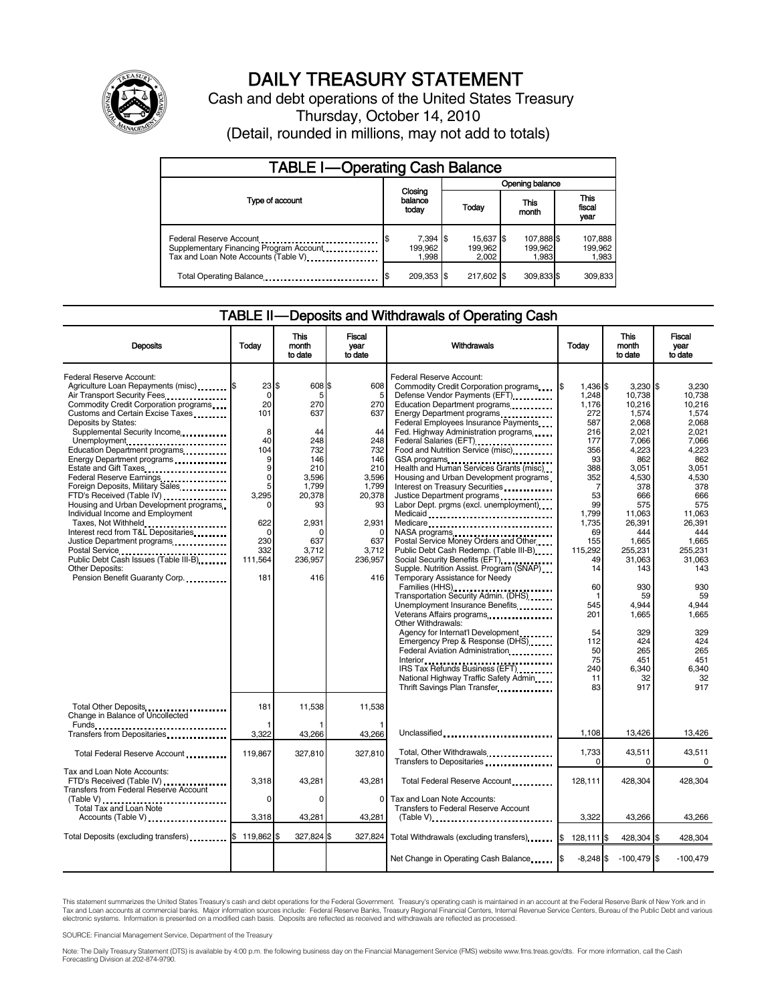

# DAILY TREASURY STATEMENT

Cash and debt operations of the United States Treasury Thursday, October 14, 2010 (Detail, rounded in millions, may not add to totals)

| <b>TABLE I-Operating Cash Balance</b>                                                                       |                               |  |                               |                                |                               |  |  |
|-------------------------------------------------------------------------------------------------------------|-------------------------------|--|-------------------------------|--------------------------------|-------------------------------|--|--|
|                                                                                                             |                               |  |                               | Opening balance                |                               |  |  |
| Type of account                                                                                             | Closing<br>balance<br>today   |  | Today                         | This<br>month                  | <b>This</b><br>fiscal<br>year |  |  |
| Federal Reserve Account<br>Supplementary Financing Program Account<br>Tax and Loan Note Accounts (Table V). | $7,394$ \$<br>199.962<br>998. |  | 15,637 \$<br>199,962<br>2.002 | 107,888 \$<br>199,962<br>1.983 | 107,888<br>199,962<br>1,983   |  |  |
| Total Operating Balance                                                                                     | 209,353 \$                    |  | 217,602 \$                    | 309,833 \$                     | 309.833                       |  |  |

## TABLE II-Deposits and Withdrawals of Operating Cash

| <b>Deposits</b>                                                                                                                                                                                                                                                                                                                                                                                                                                                                                                                                                                                                                                                                                                                        | Today                                                                                                                                                     | <b>This</b><br>month<br>to date                                                                                                               | <b>Fiscal</b><br>year<br>to date                                                                                                                  | <b>Withdrawals</b>                                                                                                                                                                                                                                                                                                                                                                                                                                                                                                                                                                                                                                                                                                                                                                                                                                                                                                                                                                                                                                                                                                                                                                                                                                                                                                                               | Todav                                                                                                                                                                                                                         | <b>This</b><br>month<br>to date                                                                                                                                                                                                                                            | <b>Fiscal</b><br>vear<br>to date                                                                                                                                                                                                                                      |
|----------------------------------------------------------------------------------------------------------------------------------------------------------------------------------------------------------------------------------------------------------------------------------------------------------------------------------------------------------------------------------------------------------------------------------------------------------------------------------------------------------------------------------------------------------------------------------------------------------------------------------------------------------------------------------------------------------------------------------------|-----------------------------------------------------------------------------------------------------------------------------------------------------------|-----------------------------------------------------------------------------------------------------------------------------------------------|---------------------------------------------------------------------------------------------------------------------------------------------------|--------------------------------------------------------------------------------------------------------------------------------------------------------------------------------------------------------------------------------------------------------------------------------------------------------------------------------------------------------------------------------------------------------------------------------------------------------------------------------------------------------------------------------------------------------------------------------------------------------------------------------------------------------------------------------------------------------------------------------------------------------------------------------------------------------------------------------------------------------------------------------------------------------------------------------------------------------------------------------------------------------------------------------------------------------------------------------------------------------------------------------------------------------------------------------------------------------------------------------------------------------------------------------------------------------------------------------------------------|-------------------------------------------------------------------------------------------------------------------------------------------------------------------------------------------------------------------------------|----------------------------------------------------------------------------------------------------------------------------------------------------------------------------------------------------------------------------------------------------------------------------|-----------------------------------------------------------------------------------------------------------------------------------------------------------------------------------------------------------------------------------------------------------------------|
| Federal Reserve Account:<br>Agriculture Loan Repayments (misc) \$<br>Air Transport Security Fees.<br>Commodity Credit Corporation programs<br>Customs and Certain Excise Taxes<br>Deposits by States:<br>Supplemental Security Income<br>Unemployment<br>Education Department programs<br>Energy Department programs<br>Estate and Gift Taxes<br>Federal Reserve Earnings<br>Foreign Deposits, Military Sales.<br>FTD's Received (Table IV)<br>Housing and Urban Development programs<br>Individual Income and Employment<br>Taxes, Not Withheld<br>Interest recd from T&L Depositaries<br>Justice Department programs<br>Postal Service<br>Public Debt Cash Issues (Table III-B)<br>Other Deposits:<br>Pension Benefit Guaranty Corp. | $23$ $\frac{1}{3}$<br>$\Omega$<br>20<br>101<br>8<br>40<br>104<br>9<br>9<br>$\Omega$<br>5<br>3,295<br>C<br>622<br>$\Omega$<br>230<br>332<br>111,564<br>181 | 608 \$<br>5<br>270<br>637<br>44<br>248<br>732<br>146<br>210<br>3.596<br>1,799<br>20,378<br>93<br>2,931<br>C<br>637<br>3.712<br>236,957<br>416 | 608<br>5<br>270<br>637<br>44<br>248<br>732<br>146<br>210<br>3.596<br>1.799<br>20,378<br>93<br>2,931<br>$\Omega$<br>637<br>3.712<br>236,957<br>416 | Federal Reserve Account:<br>Commodity Credit Corporation programs<br>Defense Vendor Payments (EFT)<br>Education Department programs<br>Energy Department programs<br>Federal Employees Insurance Payments<br>Fed. Highway Administration programs<br>Federal Salaries (EFT)<br>1991 - Production Contract Contract Contract Contract Contract Contract Contract Contract Contract Contract Contract Contract Contract Contract Contract Contract Contract Contract Contract Contract<br>Food and Nutrition Service (misc)<br>GSA programs<br>Health and Human Services Grants (misc)<br>Housing and Urban Development programs<br>Interest on Treasury Securities<br>Justice Department programs<br>Labor Dept. prgms (excl. unemployment)<br>Medicare<br>NASA programs<br>Postal Service Money Orders and Other<br>Public Debt Cash Redemp. (Table III-B)<br>Social Security Benefits (EFT)<br>Supple. Nutrition Assist. Program (SNAP)<br>Temporary Assistance for Needy<br>Families (HHS)<br>Transportation Security Admin. (DHS)<br>Unemployment Insurance Benefits<br>Veterans Affairs programs<br>Other Withdrawals:<br>Agency for Internat'l Development<br>Emergency Prep & Response (DHS)<br>Federal Aviation Administration<br>IRS Tax Refunds Business (EFT)<br>National Highway Traffic Safety Admin<br>Thrift Savings Plan Transfer | 1,436 \$<br>1,248<br>1,176<br>272<br>587<br>216<br>177<br>356<br>93<br>388<br>352<br>7<br>53<br>99<br>1.799<br>1.735<br>69<br>155<br>115.292<br>49<br>14<br>60<br>1<br>545<br>201<br>54<br>112<br>50<br>75<br>240<br>11<br>83 | $3,230$ \$<br>10.738<br>10,216<br>1,574<br>2,068<br>2.021<br>7.066<br>4,223<br>862<br>3.051<br>4,530<br>378<br>666<br>575<br>11.063<br>26,391<br>444<br>1.665<br>255.231<br>31,063<br>143<br>930<br>59<br>4,944<br>1.665<br>329<br>424<br>265<br>451<br>6,340<br>32<br>917 | 3,230<br>10.738<br>10.216<br>1,574<br>2,068<br>2.021<br>7.066<br>4,223<br>862<br>3.051<br>4.530<br>378<br>666<br>575<br>11.063<br>26,391<br>444<br>1.665<br>255.231<br>31,063<br>143<br>930<br>59<br>4.944<br>1.665<br>329<br>424<br>265<br>451<br>6,340<br>32<br>917 |
| Total Other Deposits<br>Change in Balance of Uncollected<br>Funds                                                                                                                                                                                                                                                                                                                                                                                                                                                                                                                                                                                                                                                                      | 181                                                                                                                                                       | 11,538                                                                                                                                        | 11,538                                                                                                                                            |                                                                                                                                                                                                                                                                                                                                                                                                                                                                                                                                                                                                                                                                                                                                                                                                                                                                                                                                                                                                                                                                                                                                                                                                                                                                                                                                                  |                                                                                                                                                                                                                               |                                                                                                                                                                                                                                                                            |                                                                                                                                                                                                                                                                       |
| Transfers from Depositaries                                                                                                                                                                                                                                                                                                                                                                                                                                                                                                                                                                                                                                                                                                            | 3,322                                                                                                                                                     | 43,266                                                                                                                                        | 43,266                                                                                                                                            | Unclassified                                                                                                                                                                                                                                                                                                                                                                                                                                                                                                                                                                                                                                                                                                                                                                                                                                                                                                                                                                                                                                                                                                                                                                                                                                                                                                                                     | 1.108                                                                                                                                                                                                                         | 13,426                                                                                                                                                                                                                                                                     | 13,426                                                                                                                                                                                                                                                                |
| Total Federal Reserve Account                                                                                                                                                                                                                                                                                                                                                                                                                                                                                                                                                                                                                                                                                                          | 119,867                                                                                                                                                   | 327,810                                                                                                                                       | 327,810                                                                                                                                           | Total, Other Withdrawals<br>Transfers to Depositaries                                                                                                                                                                                                                                                                                                                                                                                                                                                                                                                                                                                                                                                                                                                                                                                                                                                                                                                                                                                                                                                                                                                                                                                                                                                                                            | 1,733<br>$\Omega$                                                                                                                                                                                                             | 43,511<br>$\Omega$                                                                                                                                                                                                                                                         | 43,511<br>$\Omega$                                                                                                                                                                                                                                                    |
| Tax and Loan Note Accounts:<br>FTD's Received (Table IV)<br>Transfers from Federal Reserve Account                                                                                                                                                                                                                                                                                                                                                                                                                                                                                                                                                                                                                                     | 3,318                                                                                                                                                     | 43,281                                                                                                                                        | 43,281                                                                                                                                            | Total Federal Reserve Account                                                                                                                                                                                                                                                                                                                                                                                                                                                                                                                                                                                                                                                                                                                                                                                                                                                                                                                                                                                                                                                                                                                                                                                                                                                                                                                    | 128.111                                                                                                                                                                                                                       | 428.304                                                                                                                                                                                                                                                                    | 428.304                                                                                                                                                                                                                                                               |
| Total Tax and Loan Note<br>Accounts (Table V)                                                                                                                                                                                                                                                                                                                                                                                                                                                                                                                                                                                                                                                                                          | $\Omega$<br>3,318                                                                                                                                         | C<br>43,281                                                                                                                                   | $\Omega$<br>43,281                                                                                                                                | Tax and Loan Note Accounts:<br>Transfers to Federal Reserve Account                                                                                                                                                                                                                                                                                                                                                                                                                                                                                                                                                                                                                                                                                                                                                                                                                                                                                                                                                                                                                                                                                                                                                                                                                                                                              | 3,322                                                                                                                                                                                                                         | 43,266                                                                                                                                                                                                                                                                     | 43,266                                                                                                                                                                                                                                                                |
| Total Deposits (excluding transfers) \$                                                                                                                                                                                                                                                                                                                                                                                                                                                                                                                                                                                                                                                                                                | 119,862 \$                                                                                                                                                | 327,824 \$                                                                                                                                    | 327,824                                                                                                                                           | Total Withdrawals (excluding transfers)                                                                                                                                                                                                                                                                                                                                                                                                                                                                                                                                                                                                                                                                                                                                                                                                                                                                                                                                                                                                                                                                                                                                                                                                                                                                                                          | 128,111 \$<br>I\$                                                                                                                                                                                                             | 428,304 \$                                                                                                                                                                                                                                                                 | 428,304                                                                                                                                                                                                                                                               |
|                                                                                                                                                                                                                                                                                                                                                                                                                                                                                                                                                                                                                                                                                                                                        |                                                                                                                                                           |                                                                                                                                               |                                                                                                                                                   | Net Change in Operating Cash Balance                                                                                                                                                                                                                                                                                                                                                                                                                                                                                                                                                                                                                                                                                                                                                                                                                                                                                                                                                                                                                                                                                                                                                                                                                                                                                                             | $-8,248$ \$                                                                                                                                                                                                                   | $-100,479$ \$                                                                                                                                                                                                                                                              | $-100,479$                                                                                                                                                                                                                                                            |

This statement summarizes the United States Treasury's cash and debt operations for the Federal Government. Treasury's operating cash is maintained in an account at the Federal Reserve Bank of New York and in<br>Tax and Loan

SOURCE: Financial Management Service, Department of the Treasury

Note: The Daily Treasury Statement (DTS) is available by 4:00 p.m. the following business day on the Financial Management Service (FMS) website www.fms.treas.gov/dts. For more information, call the Cash<br>Forecasting Divisio